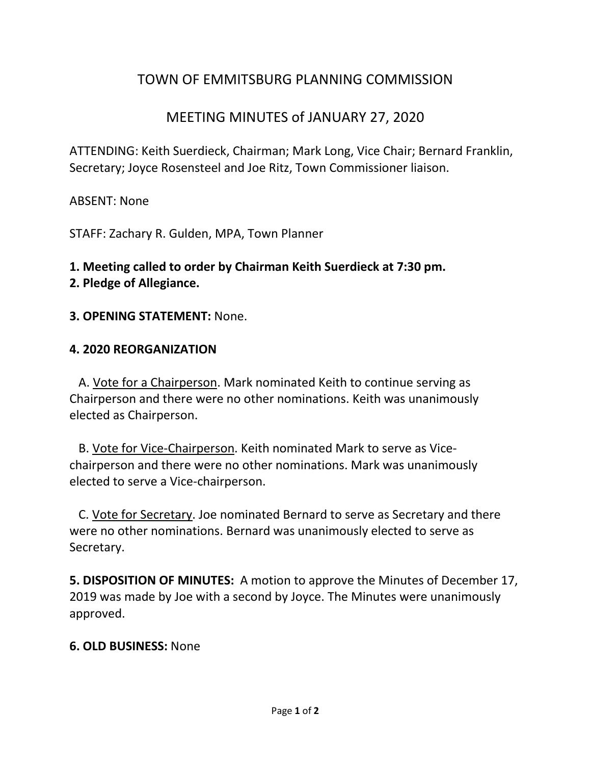# TOWN OF EMMITSBURG PLANNING COMMISSION

## MEETING MINUTES of JANUARY 27, 2020

ATTENDING: Keith Suerdieck, Chairman; Mark Long, Vice Chair; Bernard Franklin, Secretary; Joyce Rosensteel and Joe Ritz, Town Commissioner liaison.

ABSENT: None

STAFF: Zachary R. Gulden, MPA, Town Planner

# **1. Meeting called to order by Chairman Keith Suerdieck at 7:30 pm.**

**2. Pledge of Allegiance.** 

#### **3. OPENING STATEMENT:** None.

#### **4. 2020 REORGANIZATION**

A. Vote for a Chairperson. Mark nominated Keith to continue serving as Chairperson and there were no other nominations. Keith was unanimously elected as Chairperson.

 B. Vote for Vice-Chairperson. Keith nominated Mark to serve as Vicechairperson and there were no other nominations. Mark was unanimously elected to serve a Vice-chairperson.

 C. Vote for Secretary. Joe nominated Bernard to serve as Secretary and there were no other nominations. Bernard was unanimously elected to serve as Secretary.

**5. DISPOSITION OF MINUTES:** A motion to approve the Minutes of December 17, 2019 was made by Joe with a second by Joyce. The Minutes were unanimously approved.

#### **6. OLD BUSINESS:** None